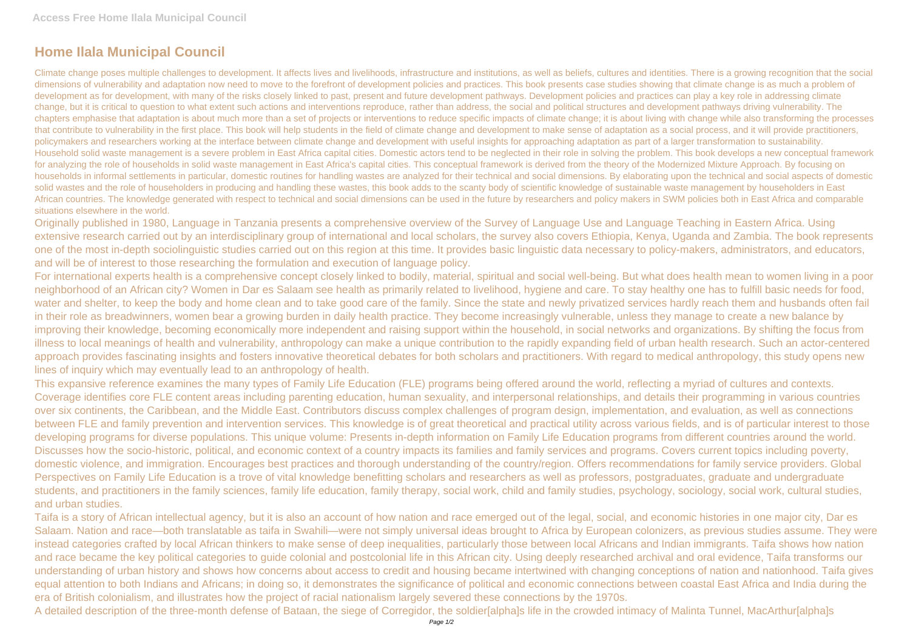## **Home Ilala Municipal Council**

Climate change poses multiple challenges to development. It affects lives and livelihoods, infrastructure and institutions, as well as beliefs, cultures and identities. There is a growing recognition that the social dimensions of vulnerability and adaptation now need to move to the forefront of development policies and practices. This book presents case studies showing that climate change is as much a problem of development as for development, with many of the risks closely linked to past, present and future development pathways. Development policies and practices can play a key role in addressing climate change, but it is critical to question to what extent such actions and interventions reproduce, rather than address, the social and political structures and development pathways driving vulnerability. The chapters emphasise that adaptation is about much more than a set of projects or interventions to reduce specific impacts of climate change; it is about living with change while also transforming the processes that contribute to vulnerability in the first place. This book will help students in the field of climate change and development to make sense of adaptation as a social process, and it will provide practitioners, policymakers and researchers working at the interface between climate change and development with useful insights for approaching adaptation as part of a larger transformation to sustainability. Household solid waste management is a severe problem in East Africa capital cities. Domestic actors tend to be neglected in their role in solving the problem. This book develops a new conceptual framework for analyzing the role of households in solid waste management in East Africa's capital cities. This conceptual framework is derived from the theory of the Modernized Mixture Approach. By focusing on households in informal settlements in particular, domestic routines for handling wastes are analyzed for their technical and social dimensions. By elaborating upon the technical and social aspects of domestic solid wastes and the role of householders in producing and handling these wastes, this book adds to the scanty body of scientific knowledge of sustainable waste management by householders in East African countries. The knowledge generated with respect to technical and social dimensions can be used in the future by researchers and policy makers in SWM policies both in East Africa and comparable situations elsewhere in the world.

Originally published in 1980, Language in Tanzania presents a comprehensive overview of the Survey of Language Use and Language Teaching in Eastern Africa. Using extensive research carried out by an interdisciplinary group of international and local scholars, the survey also covers Ethiopia, Kenya, Uganda and Zambia. The book represents one of the most in-depth sociolinguistic studies carried out on this region at this time. It provides basic linguistic data necessary to policy-makers, administrators, and educators, and will be of interest to those researching the formulation and execution of language policy.

For international experts health is a comprehensive concept closely linked to bodily, material, spiritual and social well-being. But what does health mean to women living in a poor neighborhood of an African city? Women in Dar es Salaam see health as primarily related to livelihood, hygiene and care. To stay healthy one has to fulfill basic needs for food, water and shelter, to keep the body and home clean and to take good care of the family. Since the state and newly privatized services hardly reach them and husbands often fail in their role as breadwinners, women bear a growing burden in daily health practice. They become increasingly vulnerable, unless they manage to create a new balance by improving their knowledge, becoming economically more independent and raising support within the household, in social networks and organizations. By shifting the focus from illness to local meanings of health and vulnerability, anthropology can make a unique contribution to the rapidly expanding field of urban health research. Such an actor-centered approach provides fascinating insights and fosters innovative theoretical debates for both scholars and practitioners. With regard to medical anthropology, this study opens new lines of inquiry which may eventually lead to an anthropology of health.

This expansive reference examines the many types of Family Life Education (FLE) programs being offered around the world, reflecting a myriad of cultures and contexts. Coverage identifies core FLE content areas including parenting education, human sexuality, and interpersonal relationships, and details their programming in various countries over six continents, the Caribbean, and the Middle East. Contributors discuss complex challenges of program design, implementation, and evaluation, as well as connections between FLE and family prevention and intervention services. This knowledge is of great theoretical and practical utility across various fields, and is of particular interest to those developing programs for diverse populations. This unique volume: Presents in-depth information on Family Life Education programs from different countries around the world. Discusses how the socio-historic, political, and economic context of a country impacts its families and family services and programs. Covers current topics including poverty, domestic violence, and immigration. Encourages best practices and thorough understanding of the country/region. Offers recommendations for family service providers. Global Perspectives on Family Life Education is a trove of vital knowledge benefitting scholars and researchers as well as professors, postgraduates, graduate and undergraduate students, and practitioners in the family sciences, family life education, family therapy, social work, child and family studies, psychology, sociology, social work, cultural studies, and urban studies.

Taifa is a story of African intellectual agency, but it is also an account of how nation and race emerged out of the legal, social, and economic histories in one major city, Dar es Salaam. Nation and race—both translatable as taifa in Swahili—were not simply universal ideas brought to Africa by European colonizers, as previous studies assume. They were instead categories crafted by local African thinkers to make sense of deep inequalities, particularly those between local Africans and Indian immigrants. Taifa shows how nation and race became the key political categories to guide colonial and postcolonial life in this African city. Using deeply researched archival and oral evidence, Taifa transforms our understanding of urban history and shows how concerns about access to credit and housing became intertwined with changing conceptions of nation and nationhood. Taifa gives equal attention to both Indians and Africans; in doing so, it demonstrates the significance of political and economic connections between coastal East Africa and India during the era of British colonialism, and illustrates how the project of racial nationalism largely severed these connections by the 1970s. A detailed description of the three-month defense of Bataan, the siege of Corregidor, the soldier[alpha]s life in the crowded intimacy of Malinta Tunnel, MacArthur[alpha]s